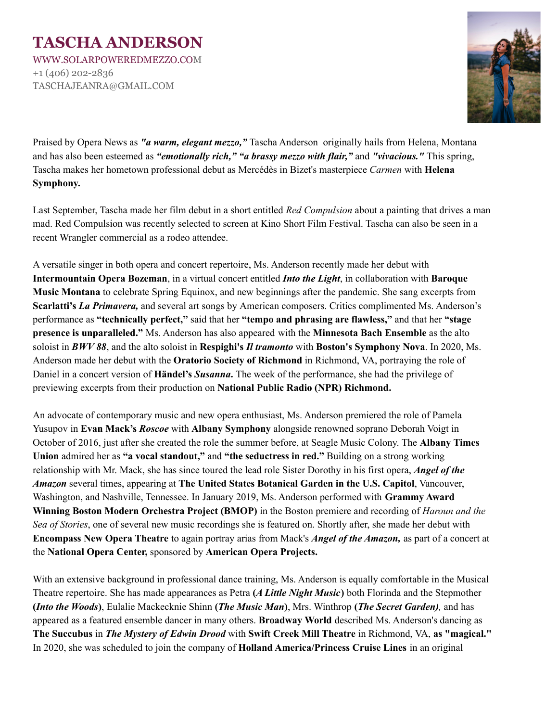## **TASCHA ANDERSON** WWW.SOLARPOWEREDMEZZO.COM

+1 (406) 202-2836 TASCHAJEANRA@GMAIL.COM



Praised by Opera News as *"a warm, elegant mezzo,"* Tascha Anderson originally hails from Helena, Montana and has also been esteemed as *"emotionally rich," "a brassy mezzo with flair,"* and *"vivacious."* This spring, Tascha makes her hometown professional debut as Mercédès in Bizet's masterpiece *Carmen* with **Helena Symphony.**

Last September, Tascha made her film debut in a short entitled *Red Compulsion* about a painting that drives a man mad. Red Compulsion was recently selected to screen at Kino Short Film Festival. Tascha can also be seen in a recent Wrangler commercial as a rodeo attendee.

A versatile singer in both opera and concert repertoire, Ms. Anderson recently made her debut with **Intermountain Opera Bozeman**, in a virtual concert entitled *Into the Light*, in collaboration with **Baroque Music Montana** to celebrate Spring Equinox, and new beginnings after the pandemic. She sang excerpts from **Scarlatti's** *La Primavera,* and several art songs by American composers. Critics complimented Ms. Anderson's performance as **"technically perfect,"** said that her **"tempo and phrasing are flawless,"** and that her **"stage presence is unparalleled."** Ms. Anderson has also appeared with the **Minnesota Bach Ensemble** as the alto soloist in *BWV 88*, and the alto soloist in **Respighi's** *Il tramonto* with **Boston's Symphony Nova**. In 2020, Ms. Anderson made her debut with the **Oratorio Society of Richmond** in Richmond, VA, portraying the role of Daniel in a concert version of **Händel's** *Susanna***.** The week of the performance, she had the privilege of previewing excerpts from their production on **National Public Radio (NPR) Richmond.**

An advocate of contemporary music and new opera enthusiast, Ms. Anderson premiered the role of Pamela Yusupov in **Evan Mack's** *Roscoe* with **Albany Symphony** alongside renowned soprano Deborah Voigt in October of 2016, just after she created the role the summer before, at Seagle Music Colony. The **Albany Times Union** admired her as **"a vocal standout,"** and **"the seductress in red."** Building on a strong working relationship with Mr. Mack, she has since toured the lead role Sister Dorothy in his first opera, *Angel of the Amazon* several times, appearing at **The United States Botanical Garden in the U.S. Capitol**, Vancouver, Washington, and Nashville, Tennessee. In January 2019, Ms. Anderson performed with **Grammy Award Winning Boston Modern Orchestra Project (BMOP)** in the Boston premiere and recording of *Haroun and the Sea of Stories*, one of several new music recordings she is featured on. Shortly after, she made her debut with **Encompass New Opera Theatre** to again portray arias from Mack's *Angel of the Amazon,* as part of a concert at the **National Opera Center,** sponsored by **American Opera Projects.**

With an extensive background in professional dance training, Ms. Anderson is equally comfortable in the Musical Theatre repertoire. She has made appearances as Petra **(***A Little Night Music***)** both Florinda and the Stepmother **(***Into the Woods***)**, Eulalie Mackecknie Shinn **(***The Music Man***)**, Mrs. Winthrop **(***The Secret Garden),* and has appeared as a featured ensemble dancer in many others. **Broadway World** described Ms. Anderson's dancing as **The Succubus** in *The Mystery of Edwin Drood* with **Swift Creek Mill Theatre** in Richmond, VA, **as "magical."** In 2020, she was scheduled to join the company of **Holland America/Princess Cruise Lines** in an original